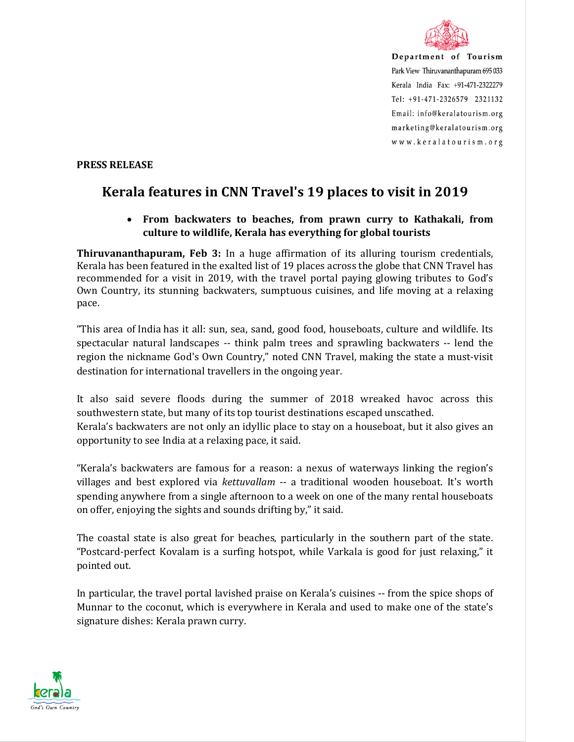

Department of Tourism Park View Thiruvananthapuram 695 033 Kerala India Fax: +91-471-2322279 Tel: +91-471-2326579 2321132 Email: info@keralatourism.org marketing@keralatourism.org www.keralatourism.org

## **PRESS RELEASE**

## **Kerala features in CNN Travel's 19 places to visit in 2019**

## • **From backwaters to beaches, from prawn curry to Kathakali, from culture to wildlife, Kerala has everything for global tourists**

**Thiruvananthapuram, Feb 3:** In a huge affirmation of its alluring tourism credentials, Kerala has been featured in the exalted list of 19 places across the globe that CNN Travel has recommended for a visit in 2019, with the travel portal paying glowing tributes to God's Own Country, its stunning backwaters, sumptuous cuisines, and life moving at a relaxing pace.

"This area of India has it all: sun, sea, sand, good food, houseboats, culture and wildlife. Its spectacular natural landscapes -- think palm trees and sprawling backwaters -- lend the region the nickname God's Own Country," noted CNN Travel, making the state a must-visit destination for international travellers in the ongoing year.

It also said severe floods during the summer of 2018 wreaked havoc across this southwestern state, but many of its top tourist destinations escaped unscathed. Kerala's backwaters are not only an idyllic place to stay on a houseboat, but it also gives an opportunity to see India at a relaxing pace, it said.

"Kerala's backwaters are famous for a reason: a nexus of waterways linking the region's villages and best explored via *kettuvallam* -- a traditional wooden houseboat. It's worth spending anywhere from a single afternoon to a week on one of the many rental houseboats on offer, enjoying the sights and sounds drifting by," it said.

The coastal state is also great for beaches, particularly in the southern part of the state. "Postcard-perfect Kovalam is a surfing hotspot, while Varkala is good for just relaxing," it pointed out.

In particular, the travel portal lavished praise on Kerala's cuisines -- from the spice shops of Munnar to the coconut, which is everywhere in Kerala and used to make one of the state's signature dishes: Kerala prawn curry.